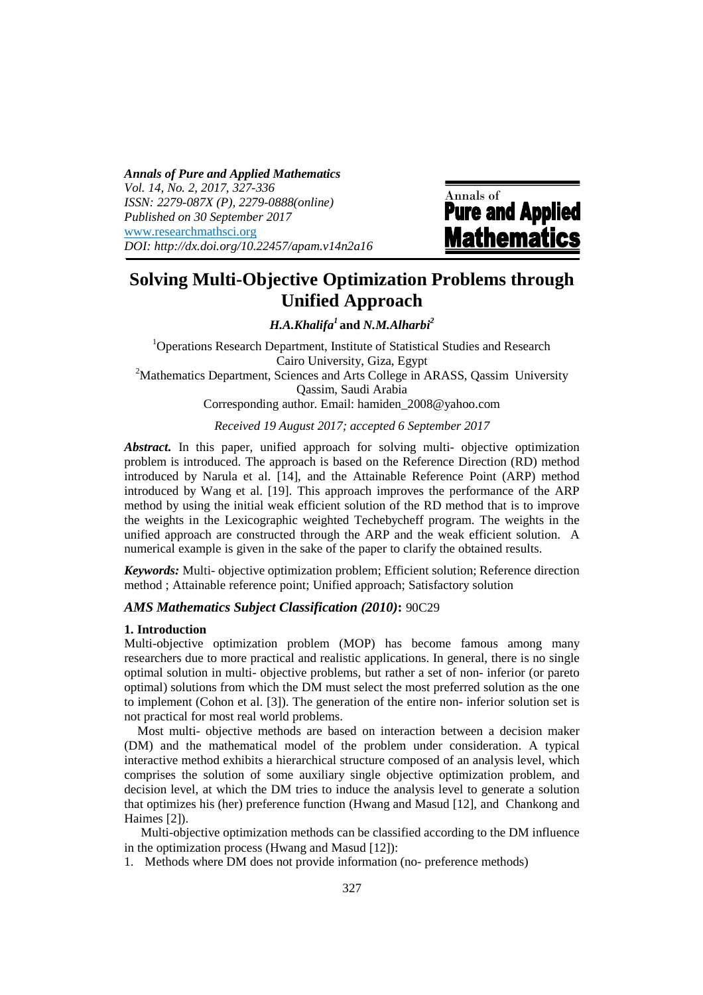*Annals of Pure and Applied Mathematics Vol. 14, No. 2, 2017, 327-336 ISSN: 2279-087X (P), 2279-0888(online) Published on 30 September 2017* www.researchmathsci.org *DOI: http://dx.doi.org/10.22457/apam.v14n2a16*

Annals of<br>**Pure and Applied Mathematics** 

# **Solving Multi-Objective Optimization Problems through Unified Approach**

*H.A.Khalifa<sup>1</sup>***and** *N.M.Alharbi<sup>2</sup>*

 $1$ Operations Research Department, Institute of Statistical Studies and Research Cairo University, Giza, Egypt <sup>2</sup>Mathematics Department, Sciences and Arts College in ARASS, Qassim University Qassim, Saudi Arabia Corresponding author. Email: hamiden\_2008@yahoo.com

*Received 19 August 2017; accepted 6 September 2017*

*Abstract.* In this paper, unified approach for solving multi- objective optimization problem is introduced. The approach is based on the Reference Direction (RD) method introduced by Narula et al. [14], and the Attainable Reference Point (ARP) method introduced by Wang et al. [19]. This approach improves the performance of the ARP method by using the initial weak efficient solution of the RD method that is to improve the weights in the Lexicographic weighted Techebycheff program. The weights in the unified approach are constructed through the ARP and the weak efficient solution. A numerical example is given in the sake of the paper to clarify the obtained results.

*Keywords:* Multi- objective optimization problem; Efficient solution; Reference direction method ; Attainable reference point; Unified approach; Satisfactory solution

## *AMS Mathematics Subject Classification (2010)***:** 90C29

#### **1. Introduction**

Multi-objective optimization problem (MOP) has become famous among many researchers due to more practical and realistic applications. In general, there is no single optimal solution in multi- objective problems, but rather a set of non- inferior (or pareto optimal) solutions from which the DM must select the most preferred solution as the one to implement (Cohon et al. [3]). The generation of the entire non- inferior solution set is not practical for most real world problems.

 Most multi- objective methods are based on interaction between a decision maker (DM) and the mathematical model of the problem under consideration. A typical interactive method exhibits a hierarchical structure composed of an analysis level, which comprises the solution of some auxiliary single objective optimization problem, and decision level, at which the DM tries to induce the analysis level to generate a solution that optimizes his (her) preference function (Hwang and Masud [12], and Chankong and Haimes [2]).

 Multi-objective optimization methods can be classified according to the DM influence in the optimization process (Hwang and Masud [12]):

1. Methods where DM does not provide information (no- preference methods)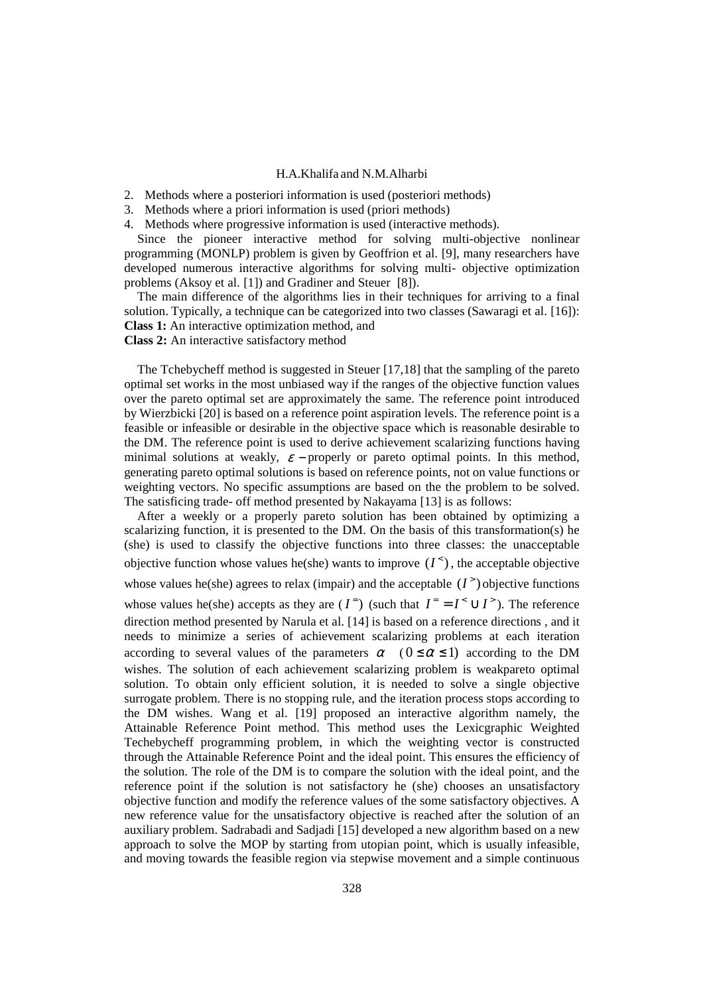- 2. Methods where a posteriori information is used (posteriori methods)
- 3. Methods where a priori information is used (priori methods)
- 4. Methods where progressive information is used (interactive methods).

 Since the pioneer interactive method for solving multi-objective nonlinear programming (MONLP) problem is given by Geoffrion et al. [9], many researchers have developed numerous interactive algorithms for solving multi- objective optimization problems (Aksoy et al. [1]) and Gradiner and Steuer [8]).

 The main difference of the algorithms lies in their techniques for arriving to a final solution. Typically, a technique can be categorized into two classes (Sawaragi et al. [16]): **Class 1:** An interactive optimization method, and

## **Class 2:** An interactive satisfactory method

 The Tchebycheff method is suggested in Steuer [17,18] that the sampling of the pareto optimal set works in the most unbiased way if the ranges of the objective function values over the pareto optimal set are approximately the same. The reference point introduced by Wierzbicki [20] is based on a reference point aspiration levels. The reference point is a feasible or infeasible or desirable in the objective space which is reasonable desirable to the DM. The reference point is used to derive achievement scalarizing functions having minimal solutions at weakly,  $\varepsilon$  – properly or pareto optimal points. In this method, generating pareto optimal solutions is based on reference points, not on value functions or weighting vectors. No specific assumptions are based on the the problem to be solved. The satisficing trade- off method presented by Nakayama [13] is as follows:

 After a weekly or a properly pareto solution has been obtained by optimizing a scalarizing function, it is presented to the DM. On the basis of this transformation(s) he (she) is used to classify the objective functions into three classes: the unacceptable objective function whose values he(she) wants to improve  $(I^{\le})$ , the acceptable objective whose values he(she) agrees to relax (impair) and the acceptable  $(I^>)$  objective functions whose values he(she) accepts as they are  $(I<sup>=</sup>)$  (such that  $I<sup>=</sup> = I<sup>lt</sup> \cup I<sup>gt</sup>$ ). The reference direction method presented by Narula et al. [14] is based on a reference directions , and it needs to minimize a series of achievement scalarizing problems at each iteration according to several values of the parameters  $\alpha$  (  $0 \leq \alpha \leq 1$ ) according to the DM wishes. The solution of each achievement scalarizing problem is weakpareto optimal solution. To obtain only efficient solution, it is needed to solve a single objective surrogate problem. There is no stopping rule, and the iteration process stops according to the DM wishes. Wang et al. [19] proposed an interactive algorithm namely, the Attainable Reference Point method. This method uses the Lexicgraphic Weighted Techebycheff programming problem, in which the weighting vector is constructed through the Attainable Reference Point and the ideal point. This ensures the efficiency of the solution. The role of the DM is to compare the solution with the ideal point, and the reference point if the solution is not satisfactory he (she) chooses an unsatisfactory objective function and modify the reference values of the some satisfactory objectives. A new reference value for the unsatisfactory objective is reached after the solution of an auxiliary problem. Sadrabadi and Sadjadi [15] developed a new algorithm based on a new approach to solve the MOP by starting from utopian point, which is usually infeasible, and moving towards the feasible region via stepwise movement and a simple continuous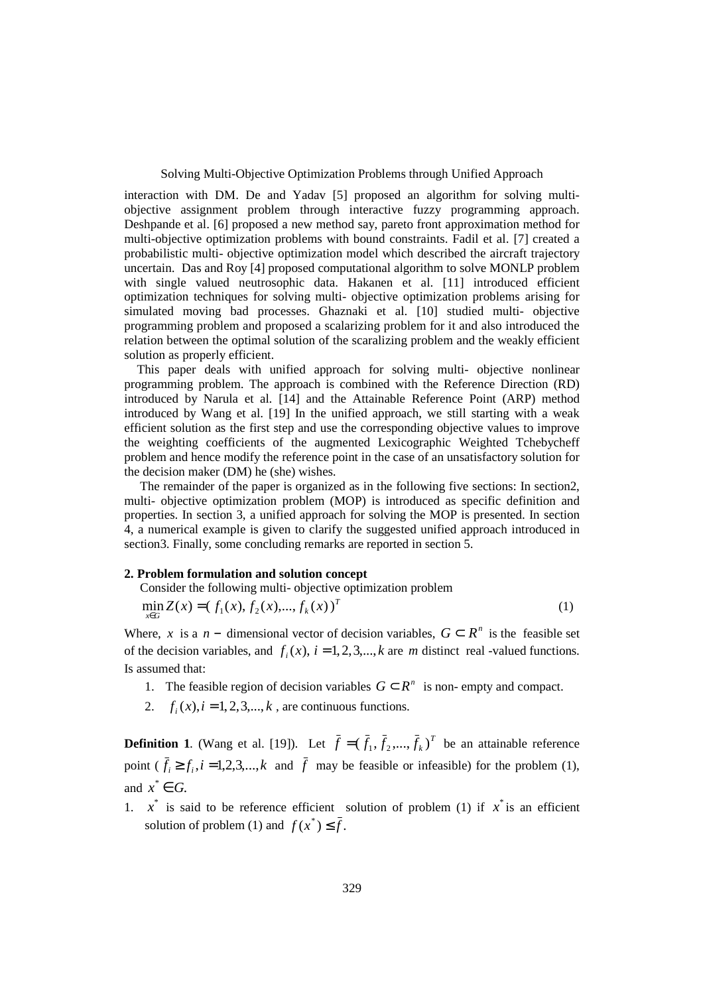Solving Multi-Objective Optimization Problems through Unified Approach

interaction with DM. De and Yadav [5] proposed an algorithm for solving multiobjective assignment problem through interactive fuzzy programming approach. Deshpande et al. [6] proposed a new method say, pareto front approximation method for multi-objective optimization problems with bound constraints. Fadil et al. [7] created a probabilistic multi- objective optimization model which described the aircraft trajectory uncertain. Das and Roy [4] proposed computational algorithm to solve MONLP problem with single valued neutrosophic data. Hakanen et al. [11] introduced efficient optimization techniques for solving multi- objective optimization problems arising for simulated moving bad processes. Ghaznaki et al. [10] studied multi- objective programming problem and proposed a scalarizing problem for it and also introduced the relation between the optimal solution of the scaralizing problem and the weakly efficient solution as properly efficient.

 This paper deals with unified approach for solving multi- objective nonlinear programming problem. The approach is combined with the Reference Direction (RD) introduced by Narula et al. [14] and the Attainable Reference Point (ARP) method introduced by Wang et al. [19] In the unified approach, we still starting with a weak efficient solution as the first step and use the corresponding objective values to improve the weighting coefficients of the augmented Lexicographic Weighted Tchebycheff problem and hence modify the reference point in the case of an unsatisfactory solution for the decision maker (DM) he (she) wishes.

 The remainder of the paper is organized as in the following five sections: In section2, multi- objective optimization problem (MOP) is introduced as specific definition and properties. In section 3, a unified approach for solving the MOP is presented. In section 4, a numerical example is given to clarify the suggested unified approach introduced in section3. Finally, some concluding remarks are reported in section 5.

#### **2. Problem formulation and solution concept**

Consider the following multi- objective optimization problem

$$
\min_{x \in G} Z(x) = (f_1(x), f_2(x), \dots, f_k(x))^T
$$
\n(1)

Where, *x* is a *n* − dimensional vector of decision variables,  $G \subset R^n$  is the feasible set of the decision variables, and  $f_i(x)$ ,  $i = 1, 2, 3, \dots, k$  are *m* distinct real -valued functions. Is assumed that:

- 1. The feasible region of decision variables  $G \subset \mathbb{R}^n$  is non- empty and compact.
- 2.  $f_i(x)$ ,  $i = 1, 2, 3, ..., k$ , are continuous functions.

**Definition 1**. (Wang et al. [19]). Let  $\bar{f} = (\bar{f}_1, \bar{f}_2, ..., \bar{f}_k)^T$  be an attainable reference point  $(\bar{f}_i \geq f_i, i = 1, 2, 3, \dots, k$  and  $\bar{f}$  may be feasible or infeasible) for the problem (1), and  $x^* \in G$ .

1.  $x^*$  is said to be reference efficient solution of problem (1) if  $x^*$  is an efficient solution of problem (1) and  $f(x^*) \leq \bar{f}$ .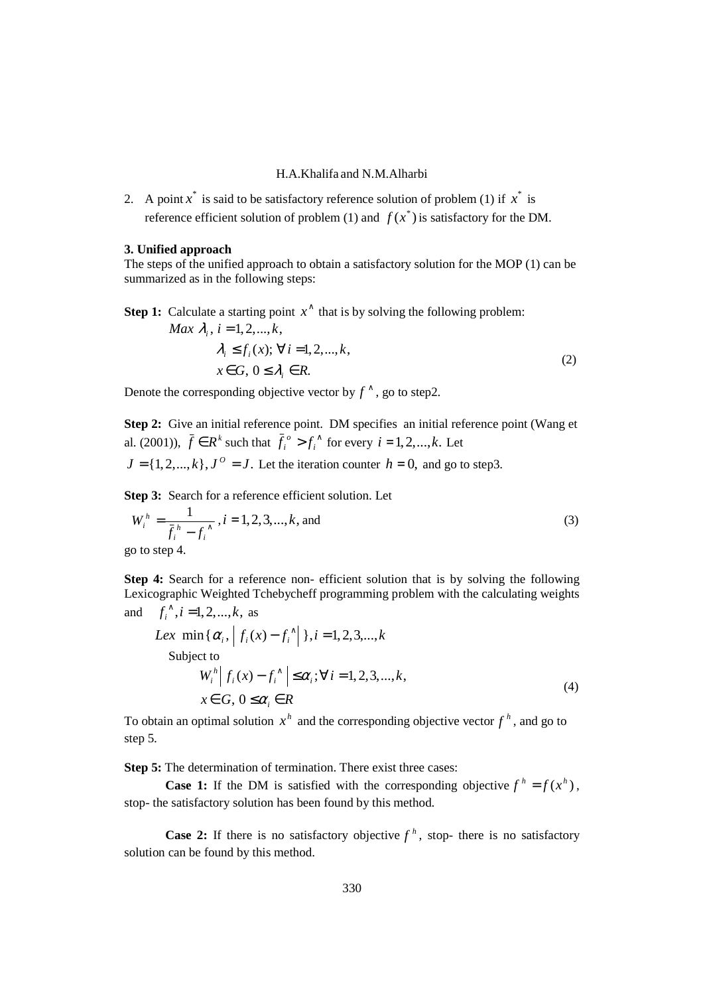2. A point  $x^*$  is said to be satisfactory reference solution of problem (1) if  $x^*$  is reference efficient solution of problem (1) and  $f(x^*)$  is satisfactory for the DM.

#### **3. Unified approach**

The steps of the unified approach to obtain a satisfactory solution for the MOP (1) can be summarized as in the following steps:

**Step 1:** Calculate a starting point  $x^{\wedge}$  that is by solving the following problem:

$$
Max \ \lambda_i, \ i = 1, 2, ..., k,\n\lambda_i \le f_i(x); \ \forall \ i = 1, 2, ..., k,\n x \in G, \ 0 \le \lambda_i \in R.
$$
\n(2)

Denote the corresponding objective vector by  $f^{\wedge}$ , go to step2.

**Step 2:** Give an initial reference point. DM specifies an initial reference point (Wang et al. (2001)),  $\bar{f} \in R^k$  such that  $\bar{f}_i^o > f_i^o$  $f_i^o > f_i^{\wedge}$  for every  $i = 1, 2, \dots, k$ . Let  $J = \{1, 2, \ldots, k\}, J^{\circ} = J$ . Let the iteration counter  $h = 0$ , and go to step3.

**Step 3:** Search for a reference efficient solution. Let

$$
W_i^h = \frac{1}{\bar{f}_i^h - f_i^{\wedge}}, i = 1, 2, 3, ..., k, \text{ and}
$$
  
go to step 4. (3)

**Step 4:** Search for a reference non- efficient solution that is by solving the following Lexicographic Weighted Tchebycheff programming problem with the calculating weights and  $f_i^{\wedge}, i = 1, 2, ..., k$ , as

Lex min{
$$
\alpha_i
$$
,  $|f_i(x) - f_i^{\wedge}|$ ,  $i = 1, 2, 3, \ldots, k$ 

\nSubject to

\n
$$
W_i^h \left| f_i(x) - f_i^{\wedge} \right| \leq \alpha_i; \forall i = 1, 2, 3, \ldots, k,
$$
\n
$$
x \in G, 0 \leq \alpha_i \in R
$$
\n
$$
(4)
$$

To obtain an optimal solution  $x^h$  and the corresponding objective vector  $f^h$ , and go to step 5.

**Step 5:** The determination of termination. There exist three cases:

**Case 1:** If the DM is satisfied with the corresponding objective  $f^h = f(x^h)$ , stop- the satisfactory solution has been found by this method.

**Case 2:** If there is no satisfactory objective  $f<sup>h</sup>$ , stop- there is no satisfactory solution can be found by this method.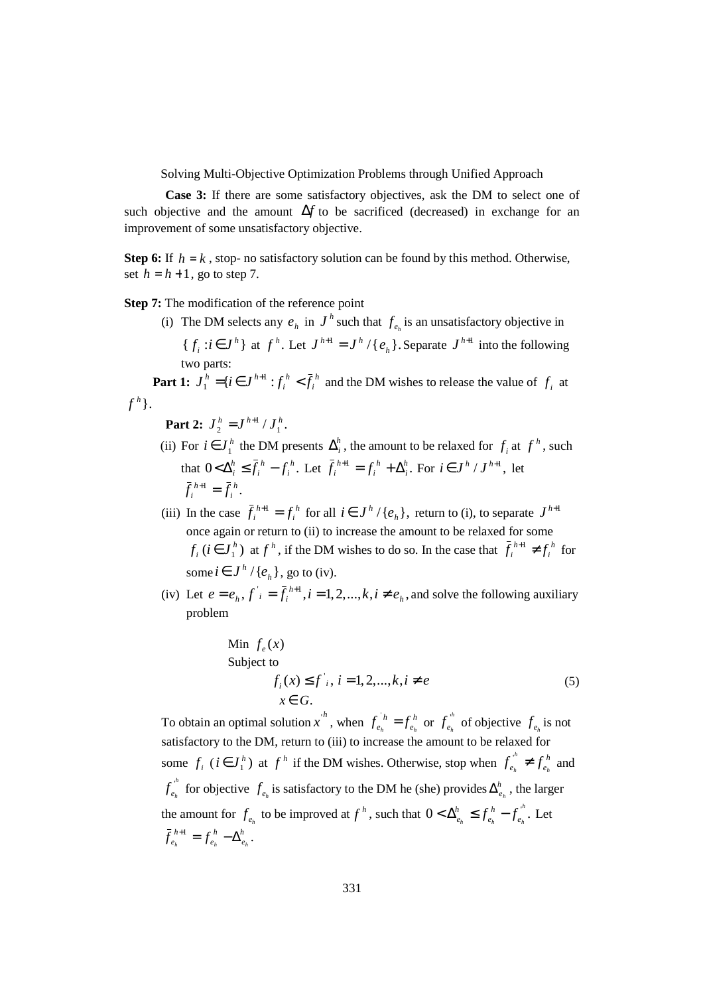Solving Multi-Objective Optimization Problems through Unified Approach

 **Case 3:** If there are some satisfactory objectives, ask the DM to select one of such objective and the amount ∆*f* to be sacrificed (decreased) in exchange for an improvement of some unsatisfactory objective.

**Step 6:** If  $h = k$ , stop- no satisfactory solution can be found by this method. Otherwise, set  $h = h + 1$ , go to step 7.

**Step 7:** The modification of the reference point

(i) The DM selects any  $e_h$  in  $J^h$  such that  $f_{e_h}$  is an unsatisfactory objective in  ${f_i : i \in J^h}$  $f_i$  :  $i \in J^h$  at  $f^h$ . Let  $J^{h+1} = J^h / \{e_h\}$ .  $J^{h+1} = J^h / \{e_h\}$ . Separate  $J^{h+1}$  into the following two parts:

**Part 1:**  $J_1^h = \{i \in J^{h+1} : f_i^h < \bar{f}_i^h\}$ *h i*  $J_1^h = \{ i \in J^{h+1} : f_i^h < \bar{f}$  $\sum_{i=1}^{n}$  = {*i*  $\in$  *J*<sup>*h*+1</sup> : *f<sub>i</sub>*<sup>*h*</sup> < *f<sub>i</sub>*<sup>*h*</sup> and the DM wishes to release the value of *f<sub>i</sub>* at  $f^h$  } .

**Part 2:**  $J_2^h = J^{h+1}/J_1^h$ . 1 2  $J_2^h = J^{h+1}/J_1^h$ 

- (ii) For  $i \in J_1^h$  the DM presents  $\Delta_i^h$ , the amount to be relaxed for  $f_i$  at  $f^h$ , such that  $0 < \Delta_i^h \leq \bar{f}_i^h - f_i^h$ . *i h i*  $<\Delta_i^h \leq \bar{f}_i^h - f_i^h$ . Let  $\bar{f}_i^{h+1} = f_i^h + \Delta_i^h$ . *i h i h*  $\bar{f}_i^{h+1} = f_i^h + \Delta_i^h$ . For  $i \in J^h / J^{h+1}$ , let  $j^{1} = \bar{f}_{i}^{h}$ . *i h*  $\bar{f}_i^{h+1} = \bar{f}$
- (iii) In the case  $\bar{f}_i^{h+1} = f_i^h$ *h*  $\bar{f}_i^{h+1} = f_i^h$  for all  $i \in J^h / \{e_h\}$ , return to (i), to separate  $J^{h+1}$ once again or return to (ii) to increase the amount to be relaxed for some  $(i \in J_1^h)$ *h*  $f_i$  ( $i \in J_1^h$ ) at  $f^h$ , if the DM wishes to do so. In the case that  $\bar{f}_i^{h+1} \neq f_i^h$ *h*  $\bar{f}_i^{h+1} \neq f_i^h$  for some  $i \in J^h / \{e_h\}$ , go to (iv).
- (iv) Let  $e = e_h$ ,  $f_i = \bar{f}_i^{h+1}$ ,  $i = 1, 2, ..., k, i \neq e_h$ , *h h*  $e = e_h$ ,  $f_i = \overline{f}_i^{h+1}$ ,  $i = 1, 2, ..., k$ ,  $i \neq e_h$ , and solve the following auxiliary problem

Min 
$$
f_e(x)
$$
  
Subject to  

$$
f_i(x) \le f^i, i = 1, 2, ..., k, i \ne e
$$

$$
x \in G.
$$
 (5)

To obtain an optimal solution x<sup>h</sup>, when  $f_{e_h}^h = f_{e_h}^h$ *h*  $f_{e_h}^{h} = f_{e_h}^{h}$  or  $f_{e_h}^{h}$  $f_{e_h}^{\prime\prime}$  of objective  $f_{e_h}$  is not satisfactory to the DM, return to (iii) to increase the amount to be relaxed for some  $f_i$  ( $i \in J_1^h$ )  $i \in J_1^h$  at  $f^h$  if the DM wishes. Otherwise, stop when  $f_{e_h}^m \neq f_{e_h}^h$ *h*  $f_{e_h}^{\prime\prime} \neq f_{e_h}^{\prime\prime}$  and *h*  $f_{e_h}^{\omega}$  for objective  $f_{e_h}$  is satisfactory to the DM he (she) provides  $\Delta_{e_h}^h$ , the larger the amount for  $f_{e_h}$  to be improved at  $f^h$ , such that  $0 < \Delta_{e_h}^h \leq f_{e_h}^h - f_{e_h}^h$ .  $h_h$ <sup>2</sup>  $J_e$ <sub>h</sub>  $J_e$ <sub>h</sub> *h e*  $\langle \Delta_{e_h}^h \leq f_{e_h}^h - f_{e_h}^h$ . Let  $\bar{f}_{e_h}^{h+1} = f_{e_h}^h - \Delta_{e_h}^h.$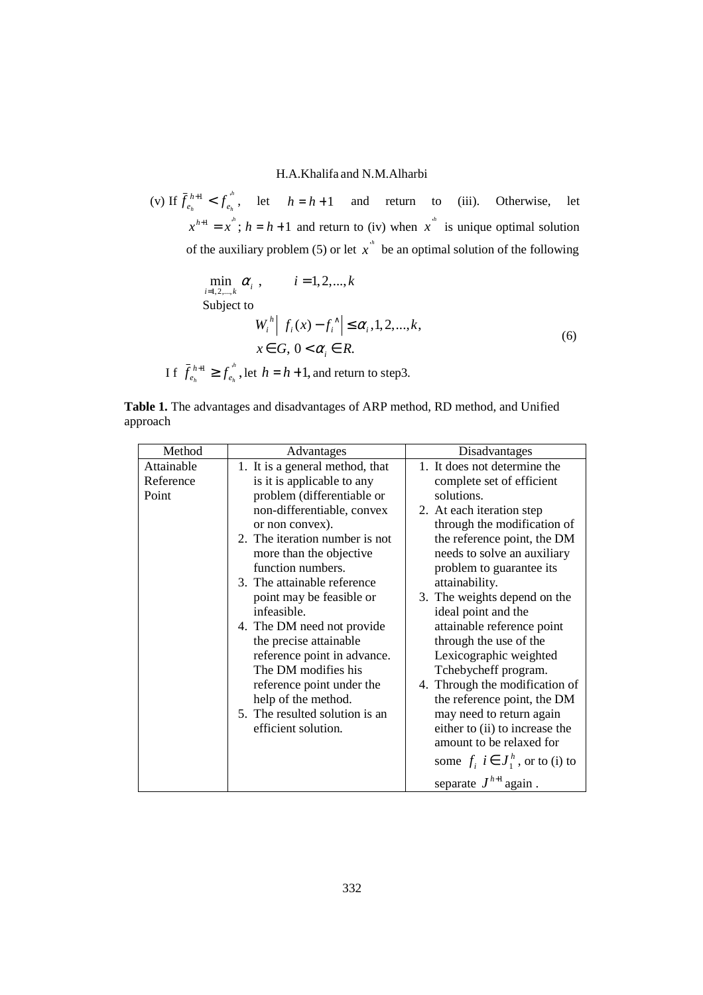(v) If  $\bar{f}_{e_i}^{h+1} < f_{e_i}^{h}$  $h$   $J$   $e_h$ *h*  $\bar{f}_{e_h}^{h+1} < f_{e_h}^{f''}$ , let  $h = h + 1$  and return to (iii). Otherwise, let  $x^{h+1} = x^h$ ;  $h = h + 1$  and return to (iv) when  $x^h$  is unique optimal solution of the auxiliary problem (5) or let  $x^*$  be an optimal solution of the following

$$
\min_{i=1,2,\dots,k} \alpha_i, \qquad i=1,2,\dots,k
$$
\nSubject to\n
$$
W_i^h \mid f_i(x) - f_i^\wedge \mid \leq \alpha_i, 1, 2, \dots, k,
$$
\n
$$
x \in G, 0 < \alpha_i \in R.
$$
\nIf  $\bar{f}_{e_h}^{h+1} \geq f_{e_h}^h$ , let  $h = h + 1$ , and return to step3.

|          | Table 1. The advantages and disadvantages of ARP method, RD method, and Unified |  |  |  |
|----------|---------------------------------------------------------------------------------|--|--|--|
| approach |                                                                                 |  |  |  |

| Method                           | Advantages                                                                                                                                                                                                                                                                                                                                                                          | Disadvantages                                                                                                                                                                                                                                                                                                                                                                                                                                                                                                |  |  |
|----------------------------------|-------------------------------------------------------------------------------------------------------------------------------------------------------------------------------------------------------------------------------------------------------------------------------------------------------------------------------------------------------------------------------------|--------------------------------------------------------------------------------------------------------------------------------------------------------------------------------------------------------------------------------------------------------------------------------------------------------------------------------------------------------------------------------------------------------------------------------------------------------------------------------------------------------------|--|--|
| Attainable<br>Reference<br>Point | 1. It is a general method, that<br>is it is applicable to any<br>problem (differentiable or<br>non-differentiable, convex<br>or non convex).                                                                                                                                                                                                                                        | 1. It does not determine the<br>complete set of efficient<br>solutions.<br>2. At each iteration step<br>through the modification of                                                                                                                                                                                                                                                                                                                                                                          |  |  |
|                                  | 2. The iteration number is not<br>more than the objective<br>function numbers.<br>3. The attainable reference<br>point may be feasible or<br>infeasible.<br>4. The DM need not provide<br>the precise attainable<br>reference point in advance.<br>The DM modifies his<br>reference point under the<br>help of the method.<br>5. The resulted solution is an<br>efficient solution. | the reference point, the DM<br>needs to solve an auxiliary<br>problem to guarantee its<br>attainability.<br>3. The weights depend on the<br>ideal point and the<br>attainable reference point<br>through the use of the<br>Lexicographic weighted<br>Tchebycheff program.<br>4. Through the modification of<br>the reference point, the DM<br>may need to return again<br>either to (ii) to increase the<br>amount to be relaxed for<br>some $f_i$ $i \in J_1^h$ , or to (i) to<br>separate $J^{h+1}$ again. |  |  |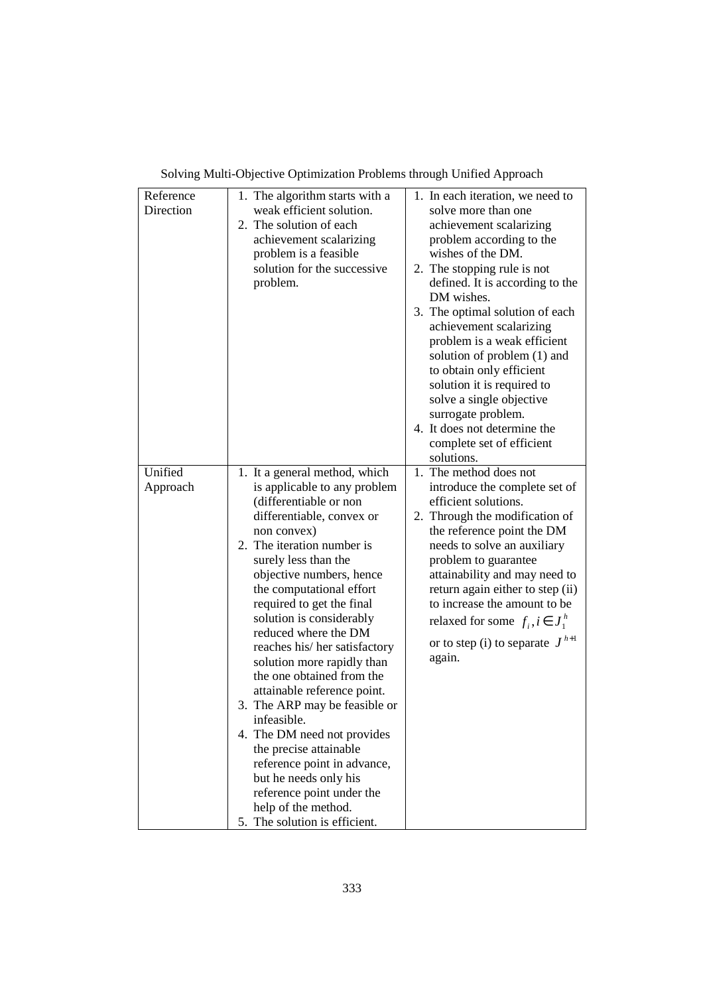| Reference<br>Direction | 1. The algorithm starts with a<br>weak efficient solution.<br>2. The solution of each<br>achievement scalarizing<br>problem is a feasible<br>solution for the successive<br>problem.                                                                                                                                                                                                                                                                                                                                                                                                                                                                                                                               | 1. In each iteration, we need to<br>solve more than one<br>achievement scalarizing<br>problem according to the<br>wishes of the DM.<br>2. The stopping rule is not<br>defined. It is according to the<br>DM wishes.<br>3. The optimal solution of each<br>achievement scalarizing<br>problem is a weak efficient                                                                                     |
|------------------------|--------------------------------------------------------------------------------------------------------------------------------------------------------------------------------------------------------------------------------------------------------------------------------------------------------------------------------------------------------------------------------------------------------------------------------------------------------------------------------------------------------------------------------------------------------------------------------------------------------------------------------------------------------------------------------------------------------------------|------------------------------------------------------------------------------------------------------------------------------------------------------------------------------------------------------------------------------------------------------------------------------------------------------------------------------------------------------------------------------------------------------|
|                        |                                                                                                                                                                                                                                                                                                                                                                                                                                                                                                                                                                                                                                                                                                                    | solution of problem (1) and<br>to obtain only efficient<br>solution it is required to<br>solve a single objective<br>surrogate problem.<br>4. It does not determine the<br>complete set of efficient<br>solutions.                                                                                                                                                                                   |
| Unified<br>Approach    | 1. It a general method, which<br>is applicable to any problem<br>(differentiable or non<br>differentiable, convex or<br>non convex)<br>2. The iteration number is<br>surely less than the<br>objective numbers, hence<br>the computational effort<br>required to get the final<br>solution is considerably<br>reduced where the DM<br>reaches his/her satisfactory<br>solution more rapidly than<br>the one obtained from the<br>attainable reference point.<br>3. The ARP may be feasible or<br>infeasible.<br>4. The DM need not provides<br>the precise attainable<br>reference point in advance,<br>but he needs only his<br>reference point under the<br>help of the method.<br>5. The solution is efficient. | 1. The method does not<br>introduce the complete set of<br>efficient solutions.<br>2. Through the modification of<br>the reference point the DM<br>needs to solve an auxiliary<br>problem to guarantee<br>attainability and may need to<br>return again either to step (ii)<br>to increase the amount to be<br>relaxed for some $f_i, i \in J_1^h$<br>or to step (i) to separate $J^{h+1}$<br>again. |

Solving Multi-Objective Optimization Problems through Unified Approach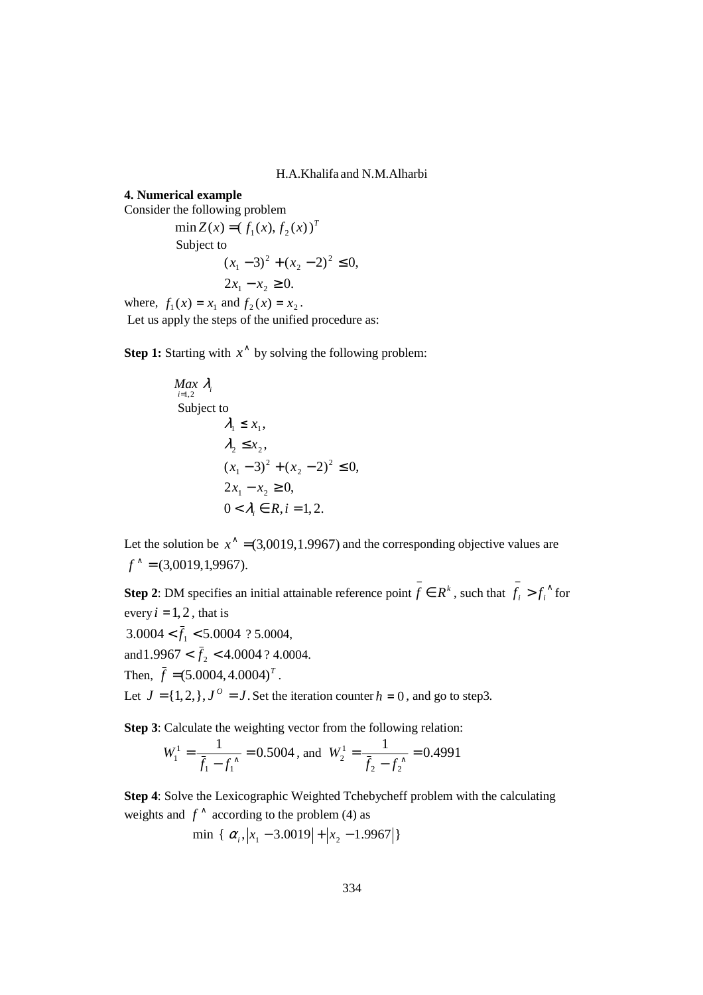# **4. Numerical example**

Consider the following problem

 $\min Z(x) = (f_1(x), f_2(x))^T$  Subject to  $2x_1 - x_2 \ge 0.$  $(x_1 - 3)^2 + (x_2 - 2)^2 \le 0$ 2 2  $(x_1 - 3)^2 + (x_2 - 2)^2 \leq$ where,  $f_1(x) = x_1$  and  $f_2(x) = x_2$ .

Let us apply the steps of the unified procedure as:

**Step 1:** Starting with  $x^{\wedge}$  by solving the following problem:

$$
\begin{aligned}\n\text{Max } \lambda_i \\
\text{Subject to} \\
\lambda_1 &\le x_1, \\
\lambda_2 &\le x_2, \\
(x_1 - 3)^2 + (x_2 - 2)^2 &\le 0, \\
2x_1 - x_2 &\ge 0, \\
0 < \lambda_i \in R, i = 1, 2.\n\end{aligned}
$$

Let the solution be  $x^{\hat{ }} = (3,0019,1.9967)$  and the corresponding objective values are  $f^* = (3,0019,1,9967).$ 

**Step 2**: DM specifies an initial attainable reference point  $\overline{f} \in R^k$ , such that  $\overline{f_i} > f_i^{\wedge}$  for every  $i = 1, 2$ , that is

 $3.0004 < f<sub>1</sub> < 5.0004$  ? 5.0004,

and  $1.9967 < f_2 < 4.0004$  ? 4.0004.

Then,  $\bar{f} = (5.0004, 4.0004)^T$ .

Let  $J = \{1, 2, \}$ ,  $J^0 = J$ . Set the iteration counter  $h = 0$ , and go to step3.

**Step 3**: Calculate the weighting vector from the following relation:

 $W_1^1 = \frac{1}{2 \cdot 5004} = 0.5004$ 1 1  $J_1^1 = \frac{1}{\bar{f}_1 - f_1^2} =$  $W_1^1 = \frac{1}{2(1.5 \times 10^{11} \text{ m})^2} = 0.5004$ , and  $W_2^1 = \frac{1}{2(1.5 \times 10^{11} \text{ m})^2} = 0.4991$ 2 J 2  $\frac{f_1}{2} = \frac{1}{\bar{f}_2 - f_2^{\wedge}} =$ *W*

**Step 4**: Solve the Lexicographic Weighted Tchebycheff problem with the calculating weights and  $f^{\wedge}$  according to the problem (4) as

 $\min \{ \alpha_i, |x_1 - 3.0019| + |x_2 - 1.9967| \}$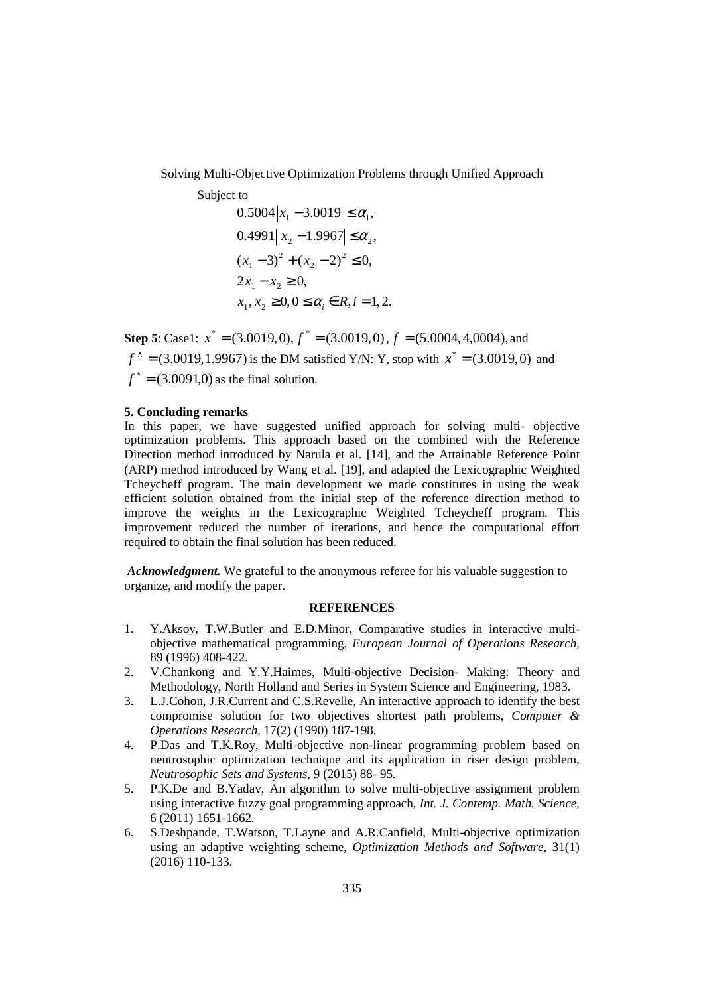Solving Multi-Objective Optimization Problems through Unified Approach

Subject to

$$
0.5004 |x_1 - 3.0019| \le \alpha_1,
$$
  
\n
$$
0.4991 |x_2 - 1.9967| \le \alpha_2,
$$
  
\n
$$
(x_1 - 3)^2 + (x_2 - 2)^2 \le 0,
$$
  
\n
$$
2x_1 - x_2 \ge 0,
$$
  
\n
$$
x_1, x_2 \ge 0, 0 \le \alpha_i \in R, i = 1, 2.
$$

**Step 5**: Case1:  $x^* = (3.0019, 0), f^* = (3.0019, 0), \overline{f} = (5.0004, 4, 0004),$  and  $f^* = (3.0019, 1.9967)$  is the DM satisfied Y/N: Y, stop with  $x^* = (3.0019, 0)$  and  $f^* = (3.0091,0)$  as the final solution.

### **5. Concluding remarks**

In this paper, we have suggested unified approach for solving multi- objective optimization problems. This approach based on the combined with the Reference Direction method introduced by Narula et al. [14], and the Attainable Reference Point (ARP) method introduced by Wang et al. [19], and adapted the Lexicographic Weighted Tcheycheff program. The main development we made constitutes in using the weak efficient solution obtained from the initial step of the reference direction method to improve the weights in the Lexicographic Weighted Tcheycheff program. This improvement reduced the number of iterations, and hence the computational effort required to obtain the final solution has been reduced.

 *Acknowledgment.* We grateful to the anonymous referee for his valuable suggestion to organize, and modify the paper.

## **REFERENCES**

- 1. Y.Aksoy, T.W.Butler and E.D.Minor, Comparative studies in interactive multiobjective mathematical programming, *European Journal of Operations Research,*  89 (1996) 408-422.
- 2. V.Chankong and Y.Y.Haimes, Multi-objective Decision- Making: Theory and Methodology, North Holland and Series in System Science and Engineering, 1983.
- 3. L.J.Cohon, J.R.Current and C.S.Revelle, An interactive approach to identify the best compromise solution for two objectives shortest path problems, *Computer & Operations Research*, 17(2) (1990) 187-198.
- 4. P.Das and T.K.Roy, Multi-objective non-linear programming problem based on neutrosophic optimization technique and its application in riser design problem, *Neutrosophic Sets and Systems,* 9 (2015) 88- 95.
- 5. P.K.De and B.Yadav, An algorithm to solve multi-objective assignment problem using interactive fuzzy goal programming approach, *Int. J. Contemp. Math. Science,* 6 (2011) 1651-1662.
- 6. S.Deshpande, T.Watson, T.Layne and A.R.Canfield, Multi-objective optimization using an adaptive weighting scheme, *Optimization Methods and Software*, 31(1) (2016) 110-133.